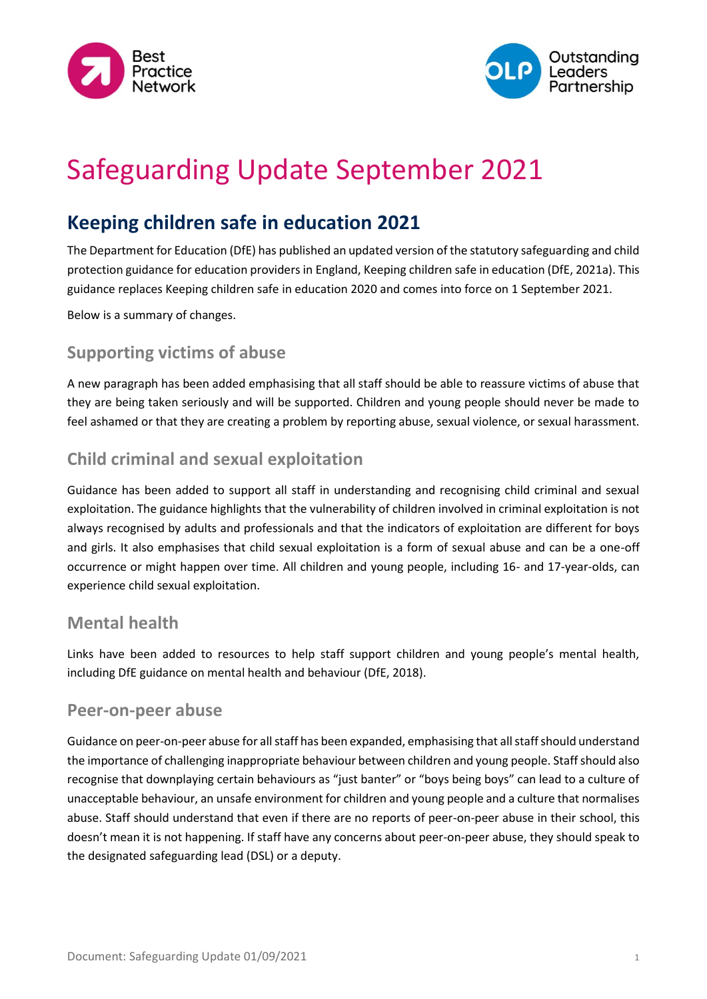



# Safeguarding Update September 2021

## **Keeping children safe in education 2021**

The Department for Education (DfE) has published an updated version of the statutory safeguarding and child protection guidance for education providers in England, Keeping children safe in education (DfE, 2021a). This guidance replaces Keeping children safe in education 2020 and comes into force on 1 September 2021.

Below is a summary of changes.

#### **Supporting victims of abuse**

A new paragraph has been added emphasising that all staff should be able to reassure victims of abuse that they are being taken seriously and will be supported. Children and young people should never be made to feel ashamed or that they are creating a problem by reporting abuse, sexual violence, or sexual harassment.

#### **Child criminal and sexual exploitation**

Guidance has been added to support all staff in understanding and recognising child criminal and sexual exploitation. The guidance highlights that the vulnerability of children involved in criminal exploitation is not always recognised by adults and professionals and that the indicators of exploitation are different for boys and girls. It also emphasises that child sexual exploitation is a form of sexual abuse and can be a one-off occurrence or might happen over time. All children and young people, including 16- and 17-year-olds, can experience child sexual exploitation.

#### **Mental health**

Links have been added to resources to help staff support children and young people's mental health, including DfE guidance on mental health and behaviour (DfE, 2018).

#### **Peer-on-peer abuse**

Guidance on peer-on-peer abuse for all staff has been expanded, emphasising that all staff should understand the importance of challenging inappropriate behaviour between children and young people. Staff should also recognise that downplaying certain behaviours as "just banter" or "boys being boys" can lead to a culture of unacceptable behaviour, an unsafe environment for children and young people and a culture that normalises abuse. Staff should understand that even if there are no reports of peer-on-peer abuse in their school, this doesn't mean it is not happening. If staff have any concerns about peer-on-peer abuse, they should speak to the designated safeguarding lead (DSL) or a deputy.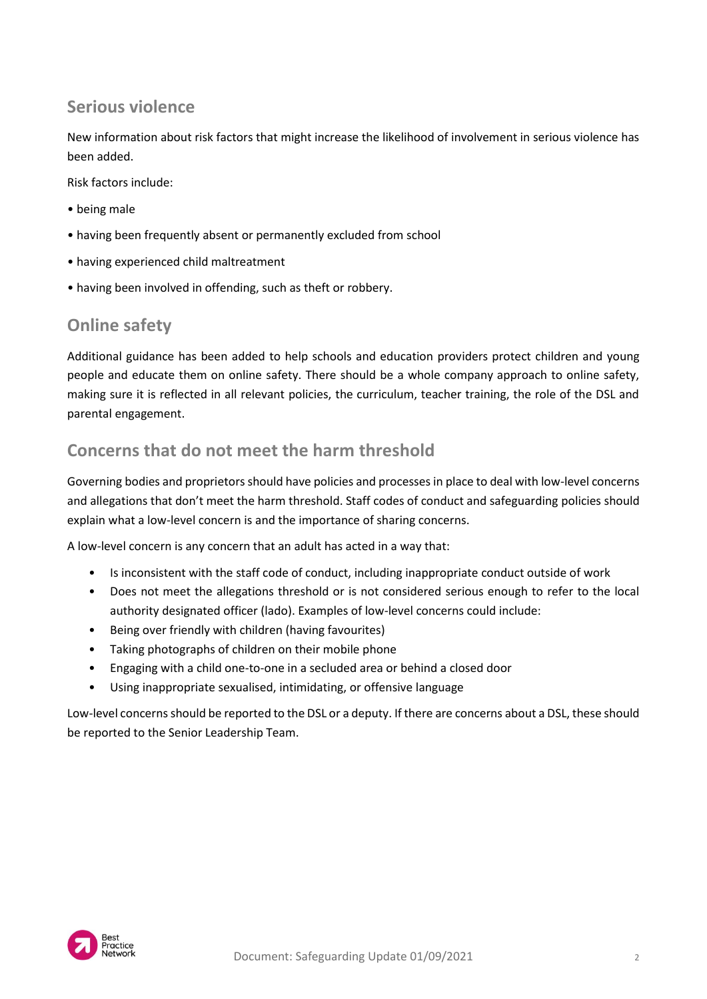## **Serious violence**

New information about risk factors that might increase the likelihood of involvement in serious violence has been added.

Risk factors include:

- being male
- having been frequently absent or permanently excluded from school
- having experienced child maltreatment
- having been involved in offending, such as theft or robbery.

### **Online safety**

Additional guidance has been added to help schools and education providers protect children and young people and educate them on online safety. There should be a whole company approach to online safety, making sure it is reflected in all relevant policies, the curriculum, teacher training, the role of the DSL and parental engagement.

## **Concerns that do not meet the harm threshold**

Governing bodies and proprietors should have policies and processes in place to deal with low-level concerns and allegations that don't meet the harm threshold. Staff codes of conduct and safeguarding policies should explain what a low-level concern is and the importance of sharing concerns.

A low-level concern is any concern that an adult has acted in a way that:

- Is inconsistent with the staff code of conduct, including inappropriate conduct outside of work
- Does not meet the allegations threshold or is not considered serious enough to refer to the local authority designated officer (lado). Examples of low-level concerns could include:
- Being over friendly with children (having favourites)
- Taking photographs of children on their mobile phone
- Engaging with a child one-to-one in a secluded area or behind a closed door
- Using inappropriate sexualised, intimidating, or offensive language

Low-level concerns should be reported to the DSL or a deputy. If there are concerns about a DSL, these should be reported to the Senior Leadership Team.